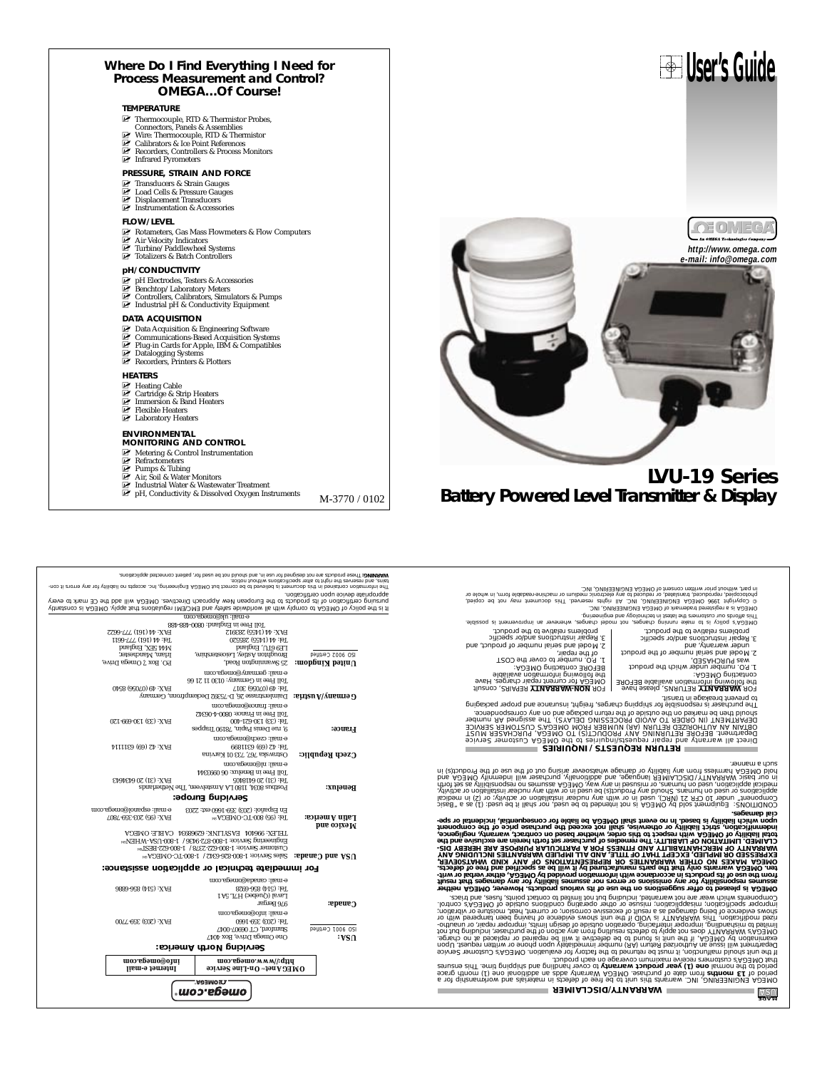#### **Where Do I Find Everything I Need for Process Measurement and Control? OMEGA…Of Course!**

#### **TEMPERATURE**

- **MUSE THERMISTIC PROPERTY THEFT CONDUCT** Thermocouple, RTD & Thermistor Probes,
- Connectors, Panels & Assemblies<br>■ Wire: Thermocouple, RTD & Thermistor<br>■ Calibrators & Ice Point References
- MU Recorders, Controllers & Process Monitors
- MU VIII: THELINOCORPICS<br>
MU Calibrators & Ice Poin<br>
MU Recorders, Controller<br>
MU Infrared Pyrometers

#### **PRESSURE, STRAIN AND FORCE**

- 
- ⊠ Transducers & Strain Gauges<br>⊠ Load Cells & Pressure Gauges<br>☑ Displacement Transducers
- $\overline{\mathbb{F}}$  Displacement Transducers<br> $\overline{\mathbb{F}}$  Instrumentation & Accessories

- **FLOW/LEVEL**<br>**IFA** Rotameters, Gas Mass Flowmeters & Flow Computers<br>IFA in Velocity Indicators<br>IFA Turbine/Paddlewheel Systems<br>IFA Totalizers & Batch Controllers
- 
- 

#### **pH/CONDUCTIVITY**

- 
- 
- Ø⊤ pH Electrodes, Testers & Accessories<br>Ø Benchtop/Laboratory Meters<br>Ø Controllers, Calibrators, Simulators & Pumps<br>Ø Industrial pH & Conductivity Equipment

#### **DATA ACQUISITION**

- 
- **MUNICAL Acquisition & Engineering Software**<br>
MUCOMMUNICATE Communications-Based Acquisition Systems<br>
MURICATE Datalogging Systems<br>
MUNICATE Datalogging Systems<br>
MUNICATE Recorders, Printers & Plotters
- 
- 

#### **HEATERS**

- 
- M⊢Heating Cable<br>M⊔ Cartridge & Strip Heaters<br>M⊔ Immersion & Band Heaters<br>M⊔ Laboratory Heaters
- 
- 

- **ENVIRONMENTAL MONITORING AND CONTROL**
- 
- 
- 
- 
- Mu Metering & Control Instrumentation<br>Murrent Musics<br>Murrents & Tubing<br>Munstrial Water & Wastewater Treatment<br>M-3770 / 0102<br>M-3770 / 0102
	-

Different political process and the main of comparison and the main of the main of the state of the state of the<br>The State of the Main State Park (Software Units (NP) . This case were the state of the state of the conject<br>

2. Model and serial number of product, and 3. Repair instructions and/or specific problems relative to the product.

2. Model and serial number of the product under warranty, and 3. Repair instructions and/or specific problems relative to the product.

**User's Guide**

- 
- 1. P.O. number under which the product was PURCHASED,
- LORISCING OMEGA:<br>the following information available BEFORE<br>contacting OMEGA:

BEFORE contacting OMEGA:<br>OMEGA following information available<br>OMEGA for current repair repairs<br>COMEGA for the following provincing of the following<br>COMEGA for the following provincing provincing of the following provincin

1. P.O. number to cover the COST of the repair,

o boots and the second that is a statement of the original process and the second that is a statement of the s<br>position of the second that the second that is a statement of the second that is a statement of the second that

#### **RETURN REQUESTS / INQUIRIES**

bized" is as (f) :bezu ed it listic ton ,bezu ed of behnami ton ai AQJMO vd blos tramqiup3 : 2/NOITId/NO2<br>isplanes as (f) :pezu ed it listic ton ,bezu ed of behnami variation of heser ,organization (in (S) to ; yilvi<br>tyliv

a considerate de la considerate de la consideración de la consideración de la consideración de la consideració<br>1990 - La consideración de la consideración de la consideración de la consideración de la consideración de la<br>1 **upon which liability is based. In no event shall OMEGA be liable for consequential, incidental or spe-cial damages.**

s to differentiator in each particle in the particle of the set of the SMMO and the set of the particle in the set of the set of the set of the set of the set of the set of the set of the set of the set of the set of the

**NASA** 

**WARRANTY/DISCLAIMER**

**Servicing North America:** One Omega Drive, Box 4047 **USA:** Stamford, CT 06907-0047 ISO 9001 Certified Tel: (203) 359-1660 FAX: (203) 359-7700 e-mail: info@omega.com **Canada:** Sales Bergar Canada: Capaca Banda Capaca Capaca Banda Capaca Capaca Capaca Capaca Capaca Capaca Capaca Capaca Capaca Capaca Capaca Capaca Capaca Capaca Capaca Capaca Capaca Capaca Capaca Capaca Capaca Capaca Capa

**Mexico and**

**OMEGAnet On-Line Service** SM **Internet e-mail http://www.omega.com info@omega.com**

©<br>©®®®®™®

Tel: (514) 856-6928 FAX: (514) 856-6886

En Español: (203) 359-1660 ext: 2203 e-mail: espanol@omega.co **Servicing Europe:**

 $\begin{minipage}{0.9\textwidth} \begin{tabular}{c} \textbf{7.5} \textbf{0.9} \textbf{0.9} \end{tabular} \end{minipage} \begin{minipage}{0.9\textwidth} \begin{tabular}{c} \textbf{7.5} \textbf{0.9} \textbf{0.9} \end{tabular} \end{minipage} \begin{minipage}{0.9\textwidth} \begin{tabular}{c} \textbf{7.5} \textbf{0.9} \textbf{0.9} \end{tabular} \end{minipage} \begin{minipage}{0.9\textwidth} \begin{tabular}{c} \textbf{7.5} \textbf{0.9} \textbf{0$ 

Toll Free in England: 0800-488-488 e-mail: uk@omega.com

(Jinstenos al AD∃MO .vlqqs tsrl znoitslugən IM∃\ƏM∃ bns vlətse əbiwbhow lis rliw vlqmos of AD∃MO to vəiloq ərti zi tl<br>Qəvə ot xhsm 30 ərti bbs lliw AD∃MO .zəvitəətiQ rləsorqqA wəM nsəqonu∃ ərti ot zisuborq zti to noitsətit language or produce al periodic particularis de believed to be correct lou MEGA Engineering, inc. accept no la<br>In the and searces the dight to alier specifications without notice<br>The Annis Strategy of the comparticularist

**For immediate technical or application assistance:**

e-mail: canada@omega.com

PO3HVO :3THV⊃ 1008593 :XNTIASV:1 1019666 :X3THJ<br><sub>ma</sub>N3HMvVS1-0080=1 / 98166-828-008-1 :ээµлээр ЗицээнцВид<br>maN3HT / 8253 :39008-1 :ээµлээр зантовтэ<br>maNO3HVO-01-008-1 / 8108-988-008-1 :ээµлэс sэргу **:epeue;) pue ∀S∩** 

Tatin America: 161 (95) 800-TC-OMEGA<sup>8M</sup> <sup>142</sup> (95) 203-359-7807

Postbus 80344<br>10<u>1 La American Benel Benelux: Benel Benelder</u><br>1941 Tel: (31) 2014 FAX: General Benelux: (31) 20 6434643<br>1941 FAX: General Benelux: (31) 2014 e-mail: nl@omega.com **Czech Republic:** Czech Czech Republic: Czerzech Republic: Czech Republic:  $\frac{1.47 \times 13}{1.4 \times 10^{21} \times 10^{21} \times 10^{21} \times 10^{21} \times 10^{21} \times 10^{21} \times 10^{21} \times 10^{21} \times 10^{21} \times 10^{21} \times 10^{21} \times 10^{21} \times 10^{21} \times 10^{21} \times 1$ e-mail: czech@omega.com 9, 1915 Tel: (33) 130-621-400<br>**France:** Tel: (33) 130-621-400<br>**France:** Tel: (33) 130-621-400 FAX: (33) 130-699-120 Toll Free in France: 0800-4-06342 e-mail: france@omega.com Daimlerstrasse 26, D-75392 Deckenpfronn, Germany **Germany/Austria:** Tel: 49 (07056) 3017 FAX: 49 (07056) 8540 Toll Free in Germany: 0130 11 21 66 e-mail: germany@omega.com Povit Gayno Road, Press (Press), Press, Press, Press, Press, Press, Press, Press, Press, Press, Press, Press,<br>Box 1902 Certified Manchesters, International Manchestershire, Press, Press, Press, Press, Press, Press, Pres<br>P

FAX: 44 (1455) 283912



# **LVU-19 Series Battery Powered Level Transmitter & Display**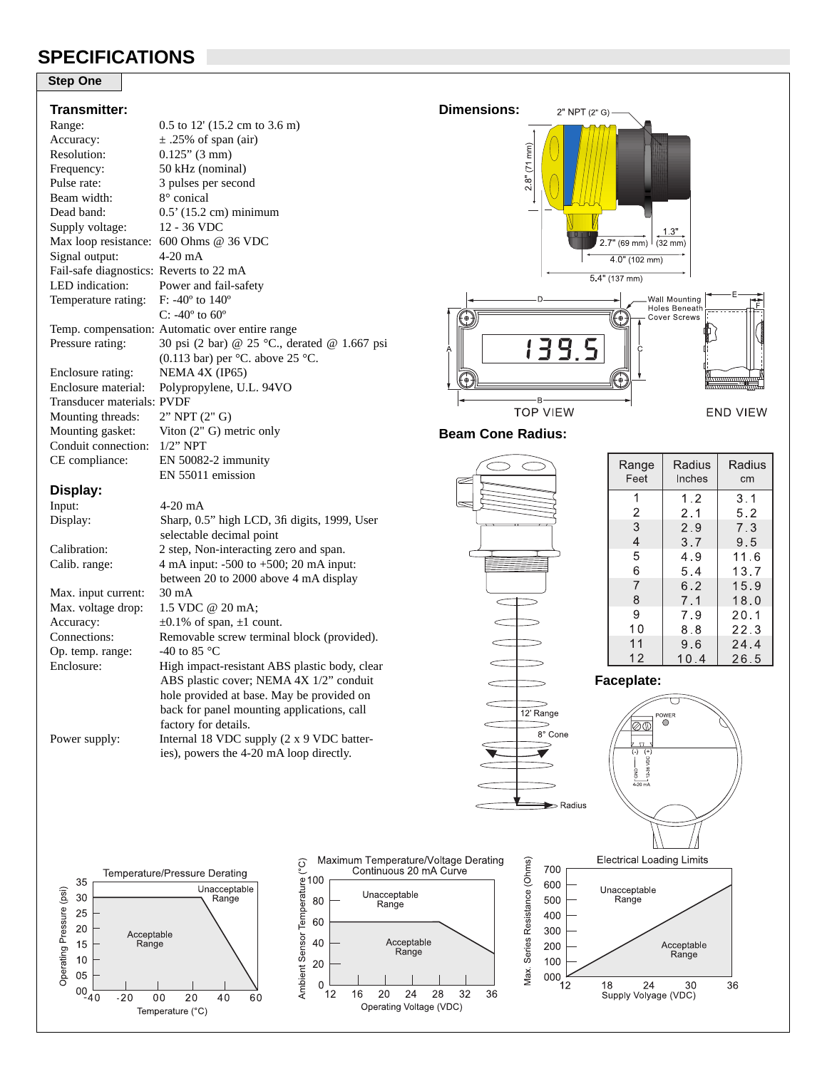# **SPECIFICATIONS**

### **Step One**

#### **Transmitter:**

|                     | <u>i</u> distituer.                     |                                                 |  |  |  |
|---------------------|-----------------------------------------|-------------------------------------------------|--|--|--|
|                     | Range:                                  | $0.5$ to 12' (15.2 cm to 3.6 m)                 |  |  |  |
|                     | Accuracy:                               | $\pm$ .25% of span (air)                        |  |  |  |
|                     | Resolution:                             | $0.125$ " (3 mm)                                |  |  |  |
|                     | Frequency:                              | 50 kHz (nominal)                                |  |  |  |
|                     | Pulse rate:                             | 3 pulses per second                             |  |  |  |
|                     | Beam width:                             | 8° conical                                      |  |  |  |
|                     | Dead band:                              | 0.5' (15.2 cm) minimum                          |  |  |  |
|                     | Supply voltage:                         | 12 - 36 VDC                                     |  |  |  |
|                     | Max loop resistance:                    | 600 Ohms @ 36 VDC                               |  |  |  |
|                     | Signal output:                          | 4-20 mA                                         |  |  |  |
|                     | Fail-safe diagnostics: Reverts to 22 mA |                                                 |  |  |  |
|                     | LED indication:                         | Power and fail-safety                           |  |  |  |
| Temperature rating: |                                         | F: -40 $^{\circ}$ to 140 $^{\circ}$             |  |  |  |
|                     |                                         | C: $-40^{\circ}$ to $60^{\circ}$                |  |  |  |
|                     |                                         | Temp. compensation: Automatic over entire range |  |  |  |
|                     | Pressure rating:                        | 30 psi (2 bar) @ 25 °C., derated @ 1.667 psi    |  |  |  |
|                     |                                         | (0.113 bar) per $°C$ . above 25 °C.             |  |  |  |
| Enclosure rating:   |                                         | NEMA 4X (IP65)                                  |  |  |  |
|                     | Enclosure material:                     | Polypropylene, U.L. 94VO                        |  |  |  |
|                     | Transducer materials: PVDF              |                                                 |  |  |  |
|                     | Mounting threads:                       | 2" NPT (2" G)                                   |  |  |  |
|                     | Mounting gasket:                        | Viton (2" G) metric only                        |  |  |  |
|                     | Conduit connection:                     | $1/2$ " NPT                                     |  |  |  |
|                     | CE compliance:                          | EN 50082-2 immunity                             |  |  |  |
|                     |                                         | EN 55011 emission                               |  |  |  |
|                     | Display:                                |                                                 |  |  |  |
|                     | Input:                                  | 4-20 mA                                         |  |  |  |
|                     | Display:                                | Sharp, 0.5" high LCD, 3fi digits, 1999, User    |  |  |  |
|                     |                                         | selectable decimal point                        |  |  |  |
|                     | Calibration:                            | 2 step, Non-interacting zero and span.          |  |  |  |
|                     | Calib. range:                           | 4 mA input: -500 to +500; 20 mA input:          |  |  |  |
|                     |                                         | between 20 to 2000 above 4 mA display           |  |  |  |
|                     | Max. input current:                     | $30 \text{ mA}$                                 |  |  |  |
|                     | Max. voltage drop:                      | 1.5 VDC @ 20 mA;                                |  |  |  |
|                     | Accuracy:                               | $\pm 0.1\%$ of span, $\pm 1$ count.             |  |  |  |
|                     | Connections:                            | Removable screw terminal block (provided).      |  |  |  |
|                     | Op. temp. range:                        | -40 to 85 $^{\circ}$ C                          |  |  |  |
|                     | Enclosure:                              | High impact-resistant ABS plastic body, clear   |  |  |  |
|                     |                                         | ABS plastic cover; NEMA 4X 1/2" conduit         |  |  |  |
|                     |                                         | hole provided at base. May be provided on       |  |  |  |
|                     |                                         | back for panel mounting applications, call      |  |  |  |
|                     |                                         | factory for details.                            |  |  |  |
|                     | Power supply:                           | Internal 18 VDC supply (2 x 9 VDC batter-       |  |  |  |
|                     |                                         | ies), powers the 4-20 mA loop directly.         |  |  |  |
|                     |                                         |                                                 |  |  |  |



000

12

18 24 30<br>Supply Volyage (VDC)

36



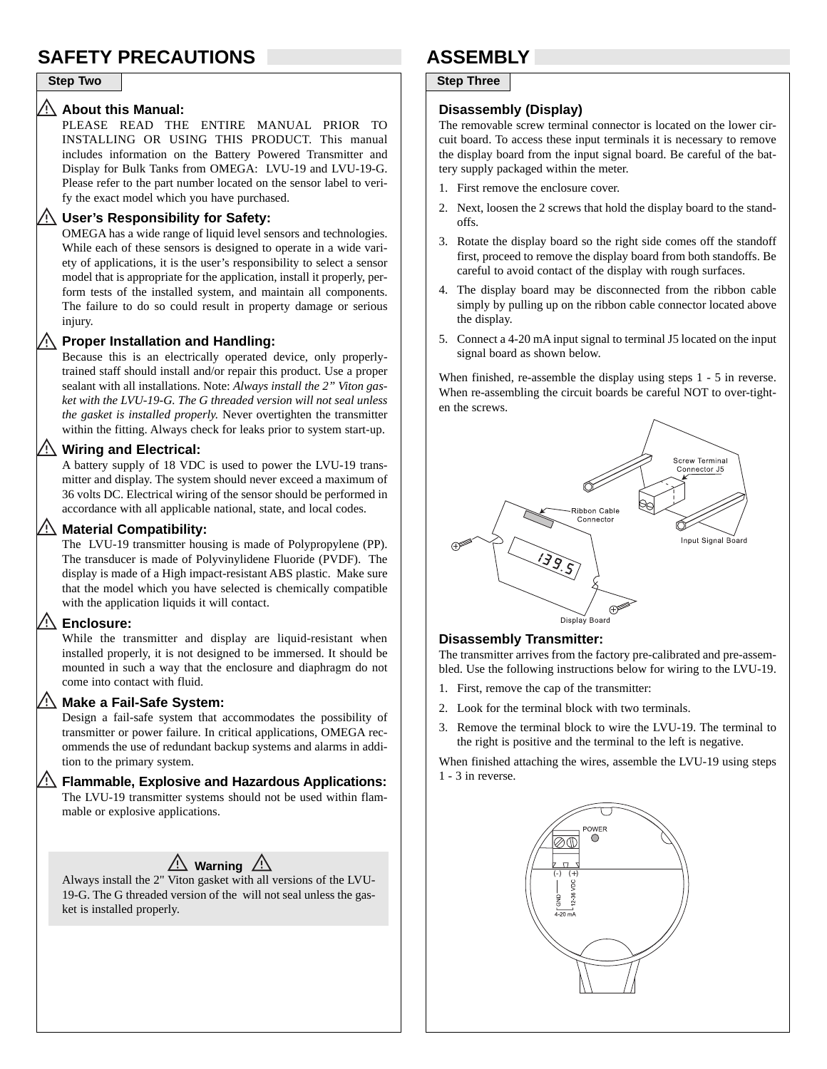# **SAFETY PRECAUTIONS ASSEMBLY**

## **About this Manual:**

PLEASE READ THE ENTIRE MANUAL PRIOR TO INSTALLING OR USING THIS PRODUCT. This manual includes information on the Battery Powered Transmitter and Display for Bulk Tanks from OMEGA: LVU-19 and LVU-19-G. Please refer to the part number located on the sensor label to verify the exact model which you have purchased.

### **User's Responsibility for Safety:**

OMEGA has a wide range of liquid level sensors and technologies. While each of these sensors is designed to operate in a wide variety of applications, it is the user's responsibility to select a sensor model that is appropriate for the application, install it properly, perform tests of the installed system, and maintain all components. The failure to do so could result in property damage or serious injury.

#### Ą. **Proper Installation and Handling:**

Because this is an electrically operated device, only properlytrained staff should install and/or repair this product. Use a proper sealant with all installations. Note: *Always install the 2" Viton gasket with the LVU-19-G. The G threaded version will not seal unless the gasket is installed properly.* Never overtighten the transmitter within the fitting. Always check for leaks prior to system start-up.

## **Wiring and Electrical:**

A battery supply of 18 VDC is used to power the LVU-19 transmitter and display. The system should never exceed a maximum of 36 volts DC. Electrical wiring of the sensor should be performed in accordance with all applicable national, state, and local codes.

### **Material Compatibility:**

The LVU-19 transmitter housing is made of Polypropylene (PP). The transducer is made of Polyvinylidene Fluoride (PVDF). The display is made of a High impact-resistant ABS plastic. Make sure that the model which you have selected is chemically compatible with the application liquids it will contact.

## **Enclosure:**

While the transmitter and display are liquid-resistant when installed properly, it is not designed to be immersed. It should be mounted in such a way that the enclosure and diaphragm do not come into contact with fluid.

## **Make a Fail-Safe System:**

Design a fail-safe system that accommodates the possibility of transmitter or power failure. In critical applications, OMEGA recommends the use of redundant backup systems and alarms in addition to the primary system.

# **Flammable, Explosive and Hazardous Applications:**

The LVU-19 transmitter systems should not be used within flammable or explosive applications.

# <u>/ Warning</u> <u>/ W</u>

Always install the 2" Viton gasket with all versions of the LVU-19-G. The G threaded version of the will not seal unless the gasket is installed properly.

## **Step Two Step Three**

### **Disassembly (Display)**

The removable screw terminal connector is located on the lower circuit board. To access these input terminals it is necessary to remove the display board from the input signal board. Be careful of the battery supply packaged within the meter.

- 1. First remove the enclosure cover.
- 2. Next, loosen the 2 screws that hold the display board to the standoffs.
- 3. Rotate the display board so the right side comes off the standoff first, proceed to remove the display board from both standoffs. Be careful to avoid contact of the display with rough surfaces.
- 4. The display board may be disconnected from the ribbon cable simply by pulling up on the ribbon cable connector located above the display.
- 5. Connect a 4-20 mA input signal to terminal J5 located on the input signal board as shown below.

When finished, re-assemble the display using steps 1 - 5 in reverse. When re-assembling the circuit boards be careful NOT to over-tighten the screws.



### **Disassembly Transmitter:**

The transmitter arrives from the factory pre-calibrated and pre-assembled. Use the following instructions below for wiring to the LVU-19.

- 1. First, remove the cap of the transmitter:
- 2. Look for the terminal block with two terminals.
- 3. Remove the terminal block to wire the LVU-19. The terminal to the right is positive and the terminal to the left is negative.

When finished attaching the wires, assemble the LVU-19 using steps 1 - 3 in reverse.

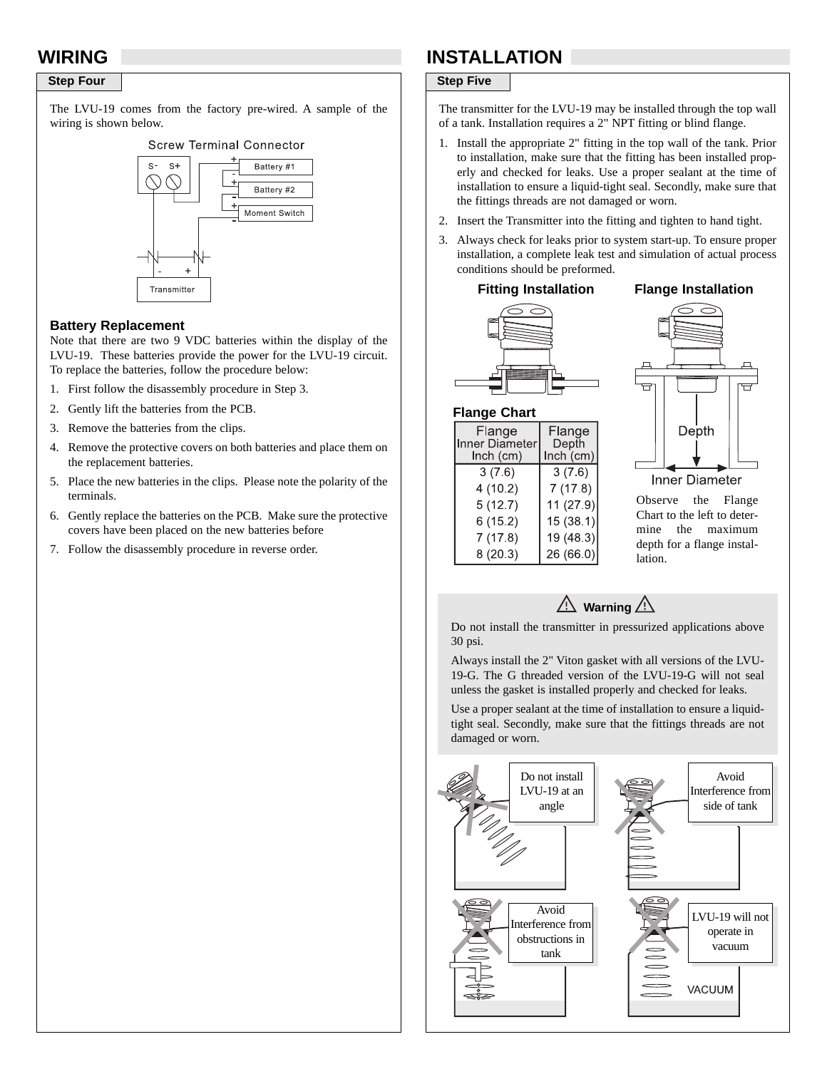## **Step Four** Step Five

The LVU-19 comes from the factory pre-wired. A sample of the wiring is shown below.

### **Screw Terminal Connector**



### **Battery Replacement**

Note that there are two 9 VDC batteries within the display of the LVU-19. These batteries provide the power for the LVU-19 circuit. To replace the batteries, follow the procedure below:

- 1. First follow the disassembly procedure in Step 3.
- 2. Gently lift the batteries from the PCB.
- 3. Remove the batteries from the clips.
- 4. Remove the protective covers on both batteries and place them on the replacement batteries.
- 5. Place the new batteries in the clips. Please note the polarity of the terminals.
- 6. Gently replace the batteries on the PCB. Make sure the protective covers have been placed on the new batteries before
- 7. Follow the disassembly procedure in reverse order.

# **WIRING INSTALLATION**

The transmitter for the LVU-19 may be installed through the top wall of a tank. Installation requires a 2" NPT fitting or blind flange.

- 1. Install the appropriate 2" fitting in the top wall of the tank. Prior to installation, make sure that the fitting has been installed properly and checked for leaks. Use a proper sealant at the time of installation to ensure a liquid-tight seal. Secondly, make sure that the fittings threads are not damaged or worn.
- 2. Insert the Transmitter into the fitting and tighten to hand tight.
- 3. Always check for leaks prior to system start-up. To ensure proper installation, a complete leak test and simulation of actual process conditions should be preformed.

#### **Fitting Installation Flange Installation**

Flange

Depth Inch (cm)

 $3(7.6)$ 

 $7(17.8)$ 

11 (27.9)

 $15(38.1)$ 

 $19(48.3)$ 

 $26(66.0)$ 



**Flange Chart**

Flange

Inner Diameter

 $lnch$  (cm)  $3(7.6)$ 

 $4(10.2)$ 

 $5(12.7)$ 

 $6(15.2)$ 

 $7(17.8)$ 

 $8(20.3)$ 



Observe the Flange Chart to the left to determine the maximum depth for a flange installation.

## $\mathbb{A}$  Warning  $\mathbb{A}$

Do not install the transmitter in pressurized applications above 30 psi.

Always install the 2" Viton gasket with all versions of the LVU-19-G. The G threaded version of the LVU-19-G will not seal unless the gasket is installed properly and checked for leaks.

Use a proper sealant at the time of installation to ensure a liquidtight seal. Secondly, make sure that the fittings threads are not damaged or worn.

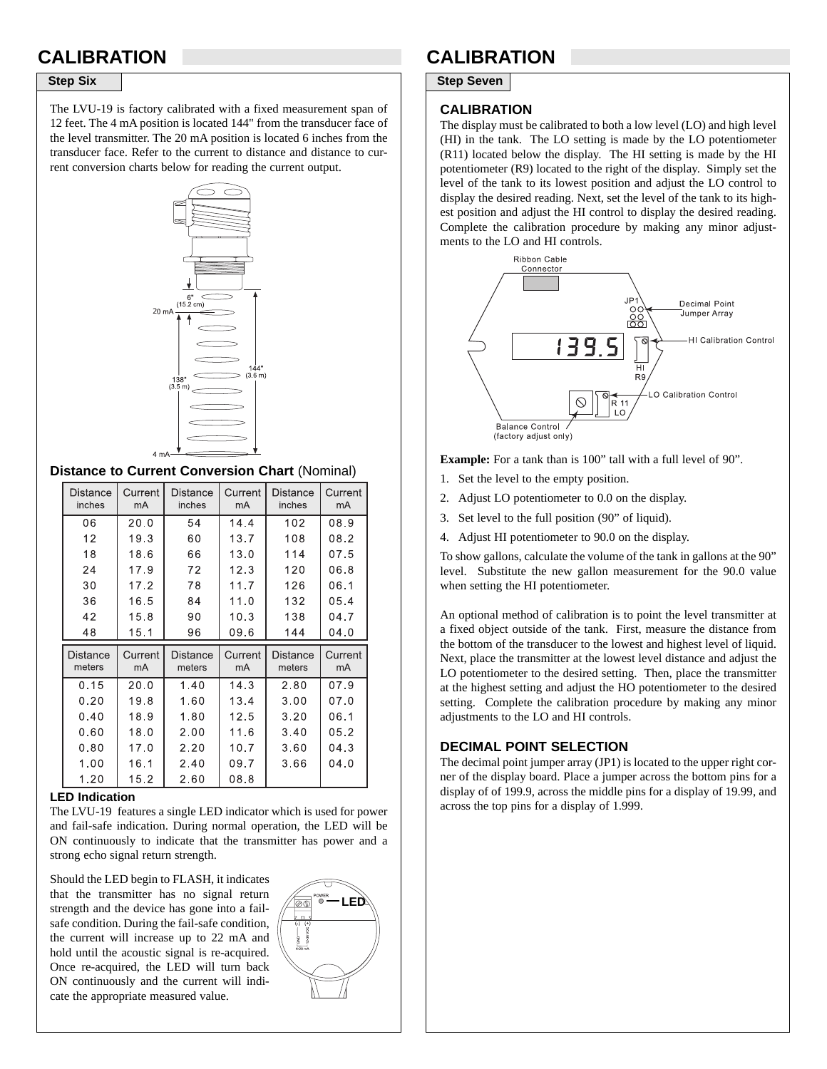The LVU-19 is factory calibrated with a fixed measurement span of 12 feet. The 4 mA position is located 144" from the transducer face of the level transmitter. The 20 mA position is located 6 inches from the transducer face. Refer to the current to distance and distance to current conversion charts below for reading the current output.



### **Distance to Current Conversion Chart** (Nominal)

| <b>Distance</b><br>inches | Current<br>mA | Distance<br>inches | Current<br>mA | Distance<br>inches | Current<br>mA |
|---------------------------|---------------|--------------------|---------------|--------------------|---------------|
| 06                        | 20.0          | 54                 | 14.4          | 102                | 08.9          |
| 12                        | 19.3          | 60                 | 13.7          | 108                | 08.2          |
| 18                        | 18.6          | 66                 | 13.0          | 114                | 07.5          |
| 24                        | 17.9          | 72                 | 12.3          | 120                | 06.8          |
| 30                        | 17.2          | 78                 | 11.7          | 126                | 06.1          |
| 36                        | 16.5          | 84                 | 11.0          | 132                | 05.4          |
| 42                        | 15.8          | 90                 | 10.3          | 138                | 04.7          |
| 48                        | 15.1          | 96                 | 09.6          | 144                | 04.0          |
| Distance<br>meters        | Current<br>mA | Distance<br>meters | Current<br>mA | Distance<br>meters | Current<br>mA |
| 0.15                      | 20.0          | 1.40               | 14.3          | 2.80               | 07.9          |
| 0.20                      | 19.8          | 1.60               | 13.4          | 3.00               | 07.0          |
| 0.40                      | 18.9          | 1.80               | 12.5          | 3.20               | 06.1          |
| 0.60                      | 18.0          | 2.00               | 11.6          | 3.40               | 05.2          |
| 0.80                      | 17.0          | 2.20               | 10.7          | 3.60               | 04.3          |
| 1.00                      | 16.1          | 2.40               | 09.7          | 3.66               | 04.0          |
| 1.20                      | 15.2          | 2.60               | 08.8          |                    |               |

#### **LED Indication**

The LVU-19 features a single LED indicator which is used for power and fail-safe indication. During normal operation, the LED will be ON continuously to indicate that the transmitter has power and a strong echo signal return strength.

Should the LED begin to FLASH, it indicates that the transmitter has no signal return strength and the device has gone into a failsafe condition. During the fail-safe condition, the current will increase up to 22 mA and hold until the acoustic signal is re-acquired. Once re-acquired, the LED will turn back ON continuously and the current will indicate the appropriate measured value.



# **CALIBRATION CALIBRATION**

**Step Six** Step Seven

#### **CALIBRATION**

The display must be calibrated to both a low level (LO) and high level (HI) in the tank. The LO setting is made by the LO potentiometer (R11) located below the display. The HI setting is made by the HI potentiometer (R9) located to the right of the display. Simply set the level of the tank to its lowest position and adjust the LO control to display the desired reading. Next, set the level of the tank to its highest position and adjust the HI control to display the desired reading. Complete the calibration procedure by making any minor adjustments to the LO and HI controls.



**Example:** For a tank than is 100" tall with a full level of 90".

- 1. Set the level to the empty position.
- 2. Adjust LO potentiometer to 0.0 on the display.
- 3. Set level to the full position (90" of liquid).
- 4. Adjust HI potentiometer to 90.0 on the display.

To show gallons, calculate the volume of the tank in gallons at the 90" level. Substitute the new gallon measurement for the 90.0 value when setting the HI potentiometer.

An optional method of calibration is to point the level transmitter at a fixed object outside of the tank. First, measure the distance from the bottom of the transducer to the lowest and highest level of liquid. Next, place the transmitter at the lowest level distance and adjust the LO potentiometer to the desired setting. Then, place the transmitter at the highest setting and adjust the HO potentiometer to the desired setting. Complete the calibration procedure by making any minor adjustments to the LO and HI controls.

## **DECIMAL POINT SELECTION**

The decimal point jumper array (JP1) is located to the upper right corner of the display board. Place a jumper across the bottom pins for a display of of 199.9, across the middle pins for a display of 19.99, and across the top pins for a display of 1.999.